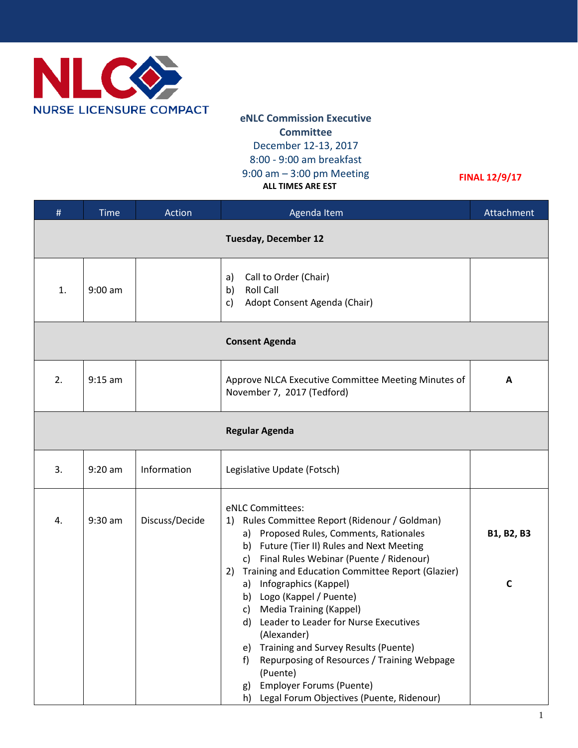

**eNLC Commission Executive Committee** December 12-13, 2017 8:00 - 9:00 am breakfast 9:00 am – 3:00 pm Meeting  **ALL TIMES ARE EST**

**FINAL 12/9/17**

| #                           | <b>Time</b> | Action         | Agenda Item                                                                                                                                                                                                                                                                                                                                                                                                      | Attachment   |  |  |  |
|-----------------------------|-------------|----------------|------------------------------------------------------------------------------------------------------------------------------------------------------------------------------------------------------------------------------------------------------------------------------------------------------------------------------------------------------------------------------------------------------------------|--------------|--|--|--|
| <b>Tuesday, December 12</b> |             |                |                                                                                                                                                                                                                                                                                                                                                                                                                  |              |  |  |  |
| 1.                          | $9:00$ am   |                | Call to Order (Chair)<br>a)<br><b>Roll Call</b><br>b)<br>Adopt Consent Agenda (Chair)<br>c)                                                                                                                                                                                                                                                                                                                      |              |  |  |  |
| <b>Consent Agenda</b>       |             |                |                                                                                                                                                                                                                                                                                                                                                                                                                  |              |  |  |  |
| 2.                          | $9:15$ am   |                | Approve NLCA Executive Committee Meeting Minutes of<br>November 7, 2017 (Tedford)                                                                                                                                                                                                                                                                                                                                | A            |  |  |  |
| <b>Regular Agenda</b>       |             |                |                                                                                                                                                                                                                                                                                                                                                                                                                  |              |  |  |  |
| 3.                          | $9:20$ am   | Information    | Legislative Update (Fotsch)                                                                                                                                                                                                                                                                                                                                                                                      |              |  |  |  |
| 4.                          | $9:30$ am   | Discuss/Decide | eNLC Committees:<br>Rules Committee Report (Ridenour / Goldman)<br>1)<br>a) Proposed Rules, Comments, Rationales<br>b) Future (Tier II) Rules and Next Meeting<br>c) Final Rules Webinar (Puente / Ridenour)                                                                                                                                                                                                     | B1, B2, B3   |  |  |  |
|                             |             |                | 2) Training and Education Committee Report (Glazier)<br>a) Infographics (Kappel)<br>b) Logo (Kappel / Puente)<br>c) Media Training (Kappel)<br>d) Leader to Leader for Nurse Executives<br>(Alexander)<br>Training and Survey Results (Puente)<br>e)<br>Repurposing of Resources / Training Webpage<br>f<br>(Puente)<br><b>Employer Forums (Puente)</b><br>g)<br>Legal Forum Objectives (Puente, Ridenour)<br>h) | $\mathsf{C}$ |  |  |  |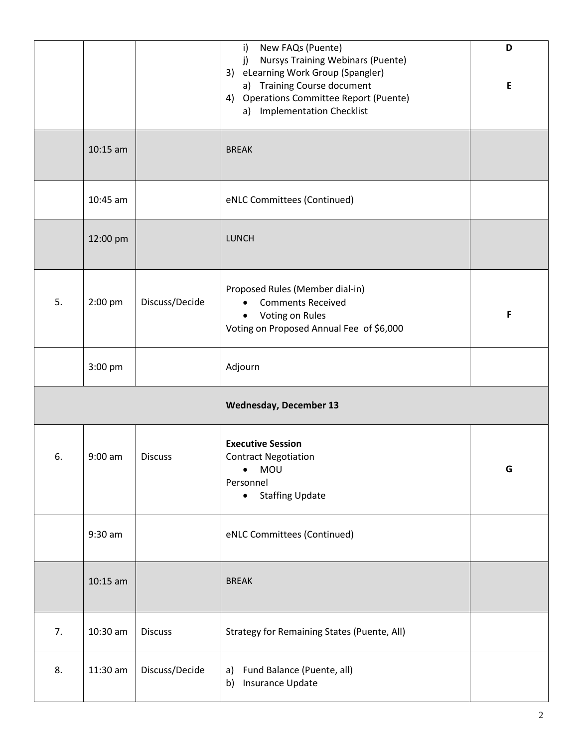|                               |            |                | New FAQs (Puente)<br>$\mathsf{i}$<br><b>Nursys Training Webinars (Puente)</b><br>j)<br>3) eLearning Work Group (Spangler)<br>a) Training Course document<br>4) Operations Committee Report (Puente)<br>a) Implementation Checklist | D<br>E |  |  |  |
|-------------------------------|------------|----------------|------------------------------------------------------------------------------------------------------------------------------------------------------------------------------------------------------------------------------------|--------|--|--|--|
|                               | $10:15$ am |                | <b>BREAK</b>                                                                                                                                                                                                                       |        |  |  |  |
|                               | 10:45 am   |                | eNLC Committees (Continued)                                                                                                                                                                                                        |        |  |  |  |
|                               | 12:00 pm   |                | <b>LUNCH</b>                                                                                                                                                                                                                       |        |  |  |  |
| 5.                            | $2:00$ pm  | Discuss/Decide | Proposed Rules (Member dial-in)<br><b>Comments Received</b><br>Voting on Rules<br>Voting on Proposed Annual Fee of \$6,000                                                                                                         | F      |  |  |  |
|                               | 3:00 pm    |                | Adjourn                                                                                                                                                                                                                            |        |  |  |  |
| <b>Wednesday, December 13</b> |            |                |                                                                                                                                                                                                                                    |        |  |  |  |
| 6.                            | $9:00$ am  | <b>Discuss</b> | <b>Executive Session</b><br><b>Contract Negotiation</b><br><b>MOU</b><br>Personnel<br><b>Staffing Update</b><br>$\bullet$                                                                                                          | G      |  |  |  |
|                               | $9:30$ am  |                | eNLC Committees (Continued)                                                                                                                                                                                                        |        |  |  |  |
|                               | $10:15$ am |                | <b>BREAK</b>                                                                                                                                                                                                                       |        |  |  |  |
| 7.                            | 10:30 am   | <b>Discuss</b> | Strategy for Remaining States (Puente, All)                                                                                                                                                                                        |        |  |  |  |
| 8.                            | 11:30 am   | Discuss/Decide | Fund Balance (Puente, all)<br>a)<br>Insurance Update<br>b)                                                                                                                                                                         |        |  |  |  |